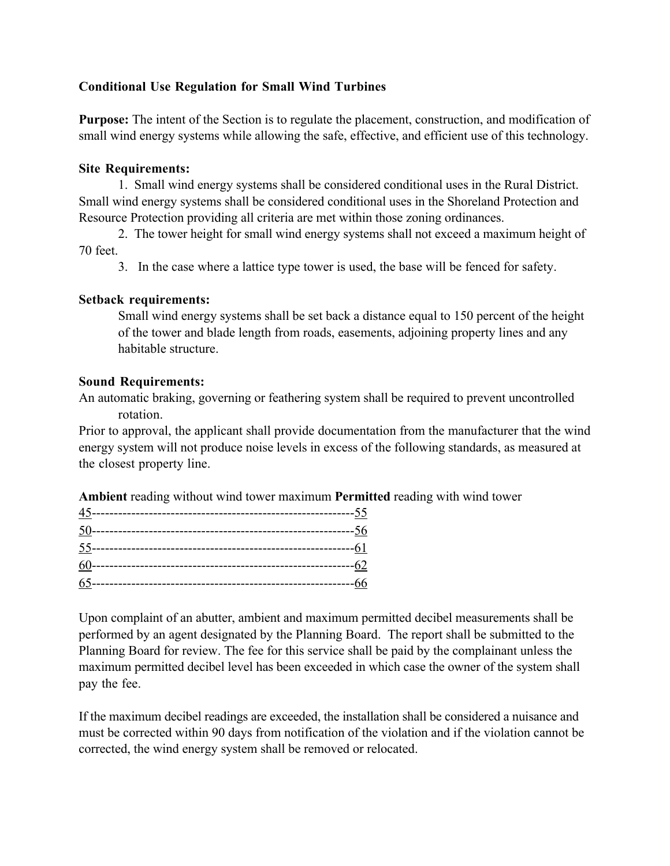## **Conditional Use Regulation for Small Wind Turbines**

**Purpose:** The intent of the Section is to regulate the placement, construction, and modification of small wind energy systems while allowing the safe, effective, and efficient use of this technology.

## **Site Requirements:**

1. Small wind energy systems shall be considered conditional uses in the Rural District. Small wind energy systems shall be considered conditional uses in the Shoreland Protection and Resource Protection providing all criteria are met within those zoning ordinances.

2. The tower height for small wind energy systems shall not exceed a maximum height of 70 feet.

3. In the case where a lattice type tower is used, the base will be fenced for safety.

## **Setback requirements:**

Small wind energy systems shall be set back a distance equal to 150 percent of the height of the tower and blade length from roads, easements, adjoining property lines and any habitable structure.

## **Sound Requirements:**

An automatic braking, governing or feathering system shall be required to prevent uncontrolled rotation.

Prior to approval, the applicant shall provide documentation from the manufacturer that the wind energy system will not produce noise levels in excess of the following standards, as measured at the closest property line.

**Ambient** reading without wind tower maximum **Permitted** reading with wind tower

Upon complaint of an abutter, ambient and maximum permitted decibel measurements shall be performed by an agent designated by the Planning Board. The report shall be submitted to the Planning Board for review. The fee for this service shall be paid by the complainant unless the maximum permitted decibel level has been exceeded in which case the owner of the system shall pay the fee.

If the maximum decibel readings are exceeded, the installation shall be considered a nuisance and must be corrected within 90 days from notification of the violation and if the violation cannot be corrected, the wind energy system shall be removed or relocated.